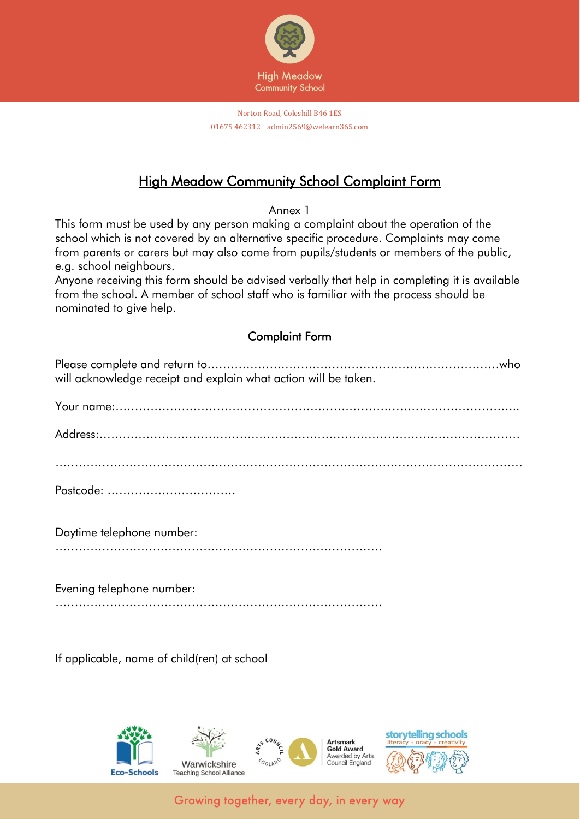

## **High Meadow Community School Complaint Form**

Annex 1

This form must be used by any person making a complaint about the operation of the school which is not covered by an alternative specific procedure. Complaints may come from parents or carers but may also come from pupils/students or members of the public, e.g. school neighbours.

Anyone receiving this form should be advised verbally that help in completing it is available from the school. A member of school staff who is familiar with the process should be nominated to give help.

## Complaint Form

| will acknowledge receipt and explain what action will be taken. |
|-----------------------------------------------------------------|
|                                                                 |
|                                                                 |
|                                                                 |
| Postcode:                                                       |
| Daytime telephone number:                                       |
|                                                                 |

Evening telephone number: …………………………………………………………………………

If applicable, name of child(ren) at school



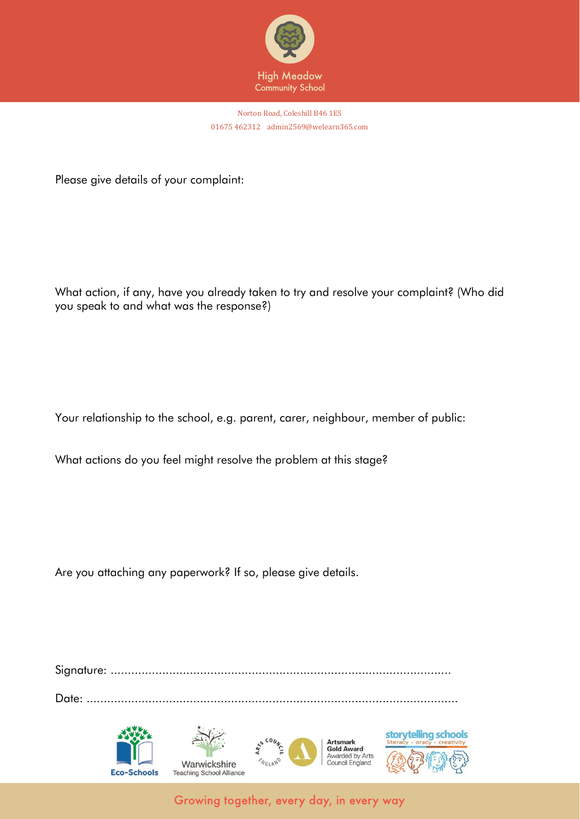

Norton Road, Coleshill B46 1ES 01675 462312 admin2569@welearn365.com

Please give details of your complaint:

What action, if any, have you already taken to try and resolve your complaint? (Who did you speak to and what was the response?)

Your relationship to the school, e.g. parent, carer, neighbour, member of public:

What actions do you feel might resolve the problem at this stage?

Are you attaching any paperwork? If so, please give details.

Signature: ...................................................................................................

Date: ............................................................................................................



Growing together, every day, in every way